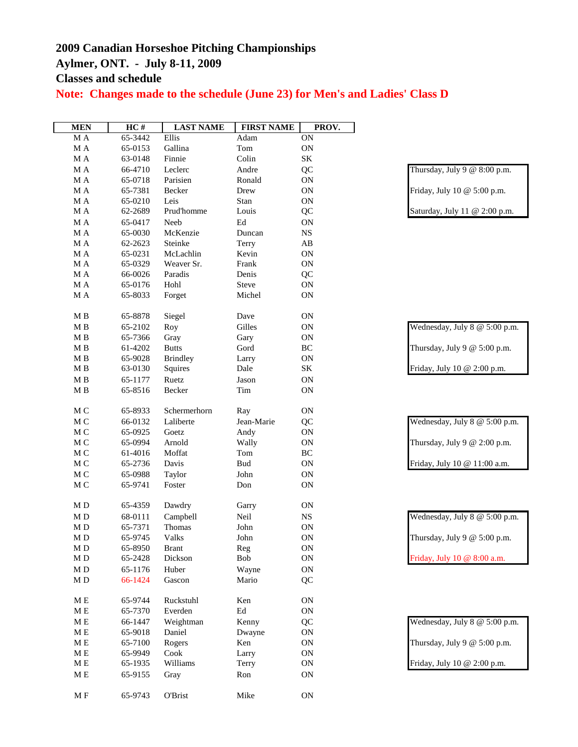## **2009 Canadian Horseshoe Pitching Championships Aylmer, ONT. - July 8-11, 2009**

**Classes and schedule**

**Note: Changes made to the schedule (June 23) for Men's and Ladies' Class D**

| <b>MEN</b>    | $\overline{HC}$ # | <b>LAST NAME</b> | <b>FIRST NAME</b>   | PROV.                  |                                |
|---------------|-------------------|------------------|---------------------|------------------------|--------------------------------|
| M A           | 65-3442           | Ellis            | Adam                | $\overline{ON}$        |                                |
| M A           | 65-0153           | Gallina          | Tom                 | ON                     |                                |
| $\mathbf M$ A | 63-0148           | Finnie           | Colin               | $\rm SK$               |                                |
| $\rm M$ A     | 66-4710           | Leclerc          | Andre               | QC                     | Thursday, July 9 $@$ 8:00 p.m. |
| $\rm M$ A     | 65-0718           | Parisien         | Ronald              | ON                     |                                |
| $\rm M$ A     | 65-7381           | Becker           | Drew                | $\mbox{ON}$            | Friday, July 10 @ 5:00 p.m.    |
| $\rm M$ A     | 65-0210           | Leis             | Stan                | ON                     |                                |
| M A           | 62-2689           | Prud'homme       | Louis               | QC                     | Saturday, July 11 @ 2:00 p.m.  |
| M A           | 65-0417           | Neeb             | $\operatorname{Ed}$ | <b>ON</b>              |                                |
| M A           | 65-0030           | McKenzie         | Duncan              | <b>NS</b>              |                                |
| $\rm M$ A     | 62-2623           | Steinke          | Terry               | $\mathbf{A}\mathbf{B}$ |                                |
| $\rm M$ A     | 65-0231           | McLachlin        | Kevin               | ON                     |                                |
| M A           | 65-0329           | Weaver Sr.       | Frank               | ON                     |                                |
| M A           | 66-0026           | Paradis          | Denis               | QC                     |                                |
| M A           | 65-0176           | Hohl             | Steve               | ON                     |                                |
| M A           | 65-8033           | Forget           | Michel              | ON                     |                                |
| $\mathbf M$ B | 65-8878           | Siegel           | Dave                | <b>ON</b>              |                                |
| $\mathbf M$ B | 65-2102           | Roy              | Gilles              | ON                     | Wednesday, July 8 @ 5:00 p.m.  |
| M B           | 65-7366           | Gray             | Gary                | ON                     |                                |
| M B           | 61-4202           | <b>Butts</b>     | Gord                | $\rm BC$               | Thursday, July 9 @ 5:00 p.m.   |
| $\mathbf M$ B | 65-9028           | <b>Brindley</b>  | Larry               | ON                     |                                |
| M B           | 63-0130           | Squires          | Dale                | SK                     | Friday, July 10 @ 2:00 p.m.    |
| $\mathbf M$ B | 65-1177           | Ruetz            | Jason               | ON                     |                                |
| M B           | 65-8516           | Becker           | Tim                 | ON                     |                                |
|               |                   |                  |                     |                        |                                |
| M C           | 65-8933           | Schermerhorn     | Ray                 | ON                     |                                |
| M C           | 66-0132           | Laliberte        | Jean-Marie          | QC                     | Wednesday, July 8 @ 5:00 p.m.  |
| M C           | 65-0925           | Goetz            | Andy                | ON                     |                                |
| M C           | 65-0994           | Arnold           | Wally               | ON                     | Thursday, July 9 $@$ 2:00 p.m. |
| M C           | 61-4016           | Moffat           | Tom                 | $\rm BC$               |                                |
| $\mathbf M$ C | 65-2736           | Davis            | <b>Bud</b>          | ON                     | Friday, July 10 @ 11:00 a.m.   |
| $\mathbf M$ C | 65-0988           | Taylor           | John                | ON                     |                                |
| $\mathbf M$ C | 65-9741           | Foster           | Don                 | ON                     |                                |
| M D           | 65-4359           | Dawdry           | Garry               | <b>ON</b>              |                                |
| $\mathbf M$ D | 68-0111           | Campbell         | Neil                | $_{\rm NS}$            | Wednesday, July 8 @ 5:00 p.m.  |
| M D           | 65-7371           | Thomas           | John                | ON                     |                                |
| M D           | 65-9745           | Valks            | John                | ON                     | Thursday, July 9 @ 5:00 p.m.   |
| $\rm M$ D     | 65-8950           | <b>Brant</b>     | Reg                 | ON                     |                                |
| $\mathbf M$ D | 65-2428           | Dickson          | Bob                 | ON                     | Friday, July 10 @ 8:00 a.m.    |
| M D           | 65-1176           | Huber            | Wayne               | ON                     |                                |
| M D           | 66-1424           | Gascon           | Mario               | QC                     |                                |
| $M\to$        | 65-9744           | Ruckstuhl        | Ken                 | ON                     |                                |
| $\mathbf M$ E | 65-7370           | Everden          | $\operatorname{Ed}$ | ON                     |                                |
| $M\to$        | 66-1447           | Weightman        | Kenny               | QC                     | Wednesday, July 8 @ 5:00 p.m.  |
| M E           | 65-9018           | Daniel           | Dwayne              | ON                     |                                |
| M E           | 65-7100           | Rogers           | Ken                 | ON                     | Thursday, July 9 $@$ 5:00 p.m. |
| M E           | 65-9949           | Cook             | Larry               | ON                     |                                |
| M E           | 65-1935           | Williams         | Terry               | ON                     | Friday, July 10 @ 2:00 p.m.    |
| M E           | 65-9155           | Gray             | Ron                 | <b>ON</b>              |                                |
|               |                   |                  |                     |                        |                                |
| M F           | 65-9743           | O'Brist          | Mike                | ON                     |                                |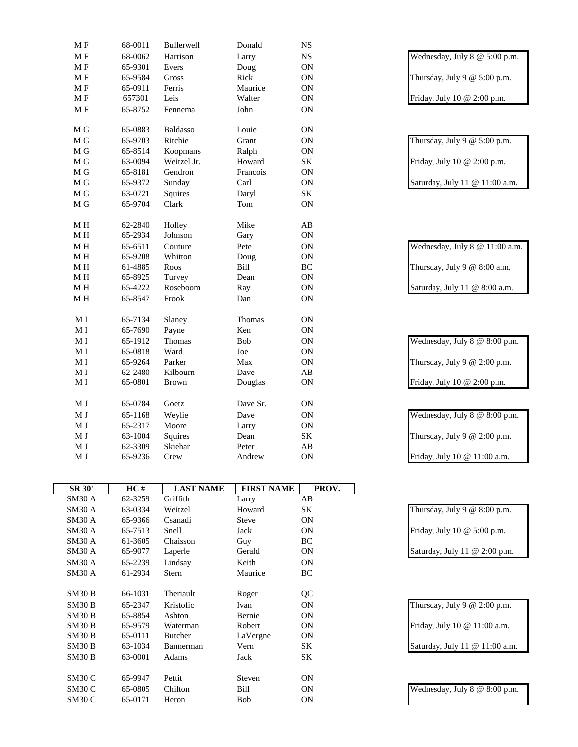| MF             | 68-0011 | Bullerwell   | Donald     | $_{\rm NS}$            |                                |
|----------------|---------|--------------|------------|------------------------|--------------------------------|
| MF             | 68-0062 | Harrison     | Larry      | $_{\rm NS}$            | Wednesday, July 8 @ 5:00 p.m.  |
| MF             | 65-9301 | Evers        | Doug       | $\mathbf{ON}$          |                                |
| MF             | 65-9584 | Gross        | Rick       | ON                     | Thursday, July 9 $@$ 5:00 p.m. |
| MF             | 65-0911 | Ferris       | Maurice    | ON                     |                                |
| MF             | 657301  | Leis         | Walter     | ON                     | Friday, July 10 @ 2:00 p.m.    |
| MF             | 65-8752 | Fennema      | John       | $\mathbf{ON}$          |                                |
| M G            | 65-0883 | Baldasso     | Louie      | $\mathbf{ON}$          |                                |
| M G            | 65-9703 | Ritchie      | Grant      | $\mathbf{ON}$          | Thursday, July 9 $@$ 5:00 p.m. |
| M G            | 65-8514 | Koopmans     | Ralph      | $\mathbf{ON}$          |                                |
| M G            | 63-0094 | Weitzel Jr.  | Howard     | $\rm SK$               | Friday, July 10 @ 2:00 p.m.    |
| M G            | 65-8181 | Gendron      | Francois   | $\mathbf{ON}$          |                                |
| M G            | 65-9372 | Sunday       | Carl       | $\mathbf{ON}$          | Saturday, July 11 @ 11:00 a.m. |
| M G            | 63-0721 | Squires      | Daryl      | SK                     |                                |
| M G            | 65-9704 | Clark        | Tom        | ON                     |                                |
| $\mathbf M$ H  | 62-2840 | Holley       | Mike       | $\mathbf{A}\mathbf{B}$ |                                |
| M H            | 65-2934 | Johnson      | Gary       | $\mathbf{ON}$          |                                |
| $\mathbf M$ H  | 65-6511 | Couture      | Pete       | $\mathbf{ON}$          | Wednesday, July 8 @ 11:00 a.m. |
| $\mathbf M$ H  | 65-9208 | Whitton      | Doug       | ON                     |                                |
| M H            | 61-4885 | Roos         | Bill       | $\rm BC$               | Thursday, July 9 @ 8:00 a.m.   |
| $\mathbf M$ H  | 65-8925 | Turvey       | Dean       | ON                     |                                |
| $\mathbf M$ H  | 65-4222 | Roseboom     | Ray        | $\mathbf{ON}$          | Saturday, July 11 @ 8:00 a.m.  |
| $\mathbf M$ H  | 65-8547 | Frook        | Dan        | ON                     |                                |
| M <sub>I</sub> | 65-7134 | Slaney       | Thomas     | $\mathbf{ON}$          |                                |
| M <sub>I</sub> | 65-7690 | Payne        | Ken        | $\mathbf{ON}$          |                                |
| M <sub>I</sub> | 65-1912 | Thomas       | <b>Bob</b> | ON                     | Wednesday, July 8 @ 8:00 p.m.  |
| M <sub>I</sub> | 65-0818 | Ward         | Joe        | ON                     |                                |
| M I            | 65-9264 | Parker       | Max        | $\mathbf{ON}$          | Thursday, July 9 $@$ 2:00 p.m. |
| $\mathbf{M}$ I | 62-2480 | Kilbourn     | Dave       | $\mathbf{A}\mathbf{B}$ |                                |
| M <sub>I</sub> | 65-0801 | <b>Brown</b> | Douglas    | ON                     | Friday, July 10 @ 2:00 p.m.    |
| M J            | 65-0784 | Goetz        | Dave Sr.   | $\mathbf{ON}$          |                                |
| M J            | 65-1168 | Weylie       | Dave       | $\mathbf{ON}$          | Wednesday, July 8 @ 8:00 p.m.  |
| M J            | 65-2317 | Moore        | Larry      | ON                     |                                |
| M J            | 63-1004 | Squires      | Dean       | $\rm SK$               | Thursday, July 9 $@$ 2:00 p.m. |
| M J            | 62-3309 | Skiehar      | Peter      | $\mathbf{A}\mathbf{B}$ |                                |
| M J            | 65-9236 | Crew         | Andrew     | ON                     | Friday, July 10 @ 11:00 a.m.   |

| <b>SR 30'</b> | HC#     | <b>LAST NAME</b> | <b>FIRST NAME</b> | PROV.     |
|---------------|---------|------------------|-------------------|-----------|
| SM30 A        | 62-3259 | Griffith         | Larry             | AB        |
| SM30A         | 63-0334 | Weitzel          | Howard            | SΚ        |
| SM30A         | 65-9366 | Csanadi          | Steve             | <b>ON</b> |
| SM30A         | 65-7513 | Snell            | Jack              | <b>ON</b> |
| SM30A         | 61-3605 | Chaisson         | Guy               | BC        |
| SM30 A        | 65-9077 | Laperle          | Gerald            | <b>ON</b> |
| SM30A         | 65-2239 | Lindsay          | Keith             | <b>ON</b> |
| SM30 A        | 61-2934 | <b>Stern</b>     | Maurice           | BC        |
|               |         |                  |                   |           |
| SM30B         | 66-1031 | Theriault        | Roger             | QC        |
| SM30B         | 65-2347 | Kristofic        | Ivan              | <b>ON</b> |
| SM30B         | 65-8854 | Ashton           | Bernie            | <b>ON</b> |
| SM30B         | 65-9579 | Waterman         | Robert            | <b>ON</b> |
| SM30B         | 65-0111 | Butcher          | LaVergne          | <b>ON</b> |
| SM30B         | 63-1034 | Bannerman        | Vern              | SΚ        |
| SM30B         | 63-0001 | Adams            | Jack              | SK        |
|               |         |                  |                   |           |
| SM30C         | 65-9947 | Pettit           | Steven            | <b>ON</b> |
| SM30C         | 65-0805 | Chilton          | Bill              | <b>ON</b> |
| SM30C         | 65-0171 | Heron            | Bob               | <b>ON</b> |
|               |         |                  |                   |           |

| Thursday, July 9 $@$ 5:00 p.m. |
|--------------------------------|
| Friday, July 10 @ 2:00 p.m.    |
| Saturday, July 11 @ 11:00 a.m. |

| Wednesday, July 8 @ 11:00 a.m. |
|--------------------------------|
| Thursday, July 9 @ 8:00 a.m.   |
| Saturday, July 11 @ 8:00 a.m.  |

| Wednesday, July $8 \text{ } \textcircled{ } 8:00 \text{ p.m.}$ |
|----------------------------------------------------------------|
| Thursday, July 9 $@2:00$ p.m.                                  |
| Friday, July 10 @ 2:00 p.m.                                    |

| Wednesday, July 8 @ 8:00 p.m. |  |
|-------------------------------|--|
| Thursday, July 9 $@2:00$ p.m. |  |
| Friday, July 10 @ 11:00 a.m.  |  |

| Thursday, July 9 $@$ 8:00 p.m. |
|--------------------------------|
| Friday, July 10 @ 5:00 p.m.    |
| Saturday, July 11 @ 2:00 p.m.  |

| Thursday, July 9 @ 2:00 p.m.     |  |
|----------------------------------|--|
| Friday, July 10 @ 11:00 a.m.     |  |
| Saturday - July 11 $@$ 11:00 a m |  |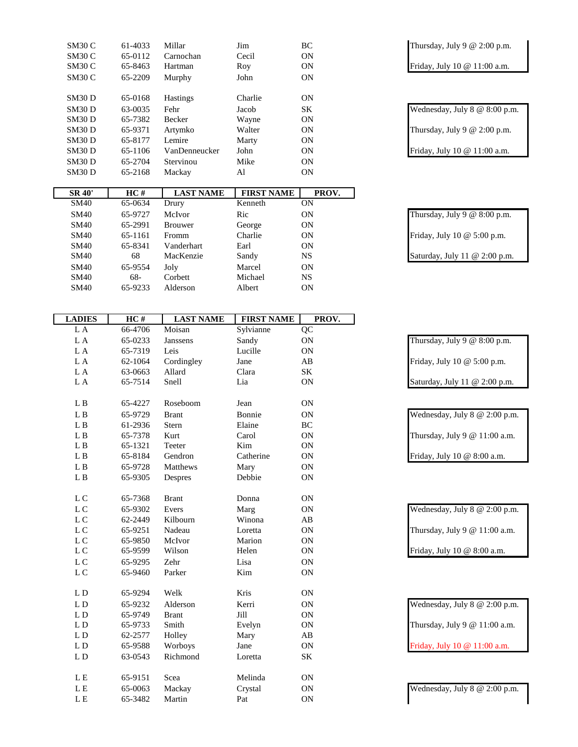| SM30 C                   | 61-4033 | Millar           | Jim                          | BC                     | Thursday, July 9 $@$ 2:00 p.m.           |
|--------------------------|---------|------------------|------------------------------|------------------------|------------------------------------------|
| SM30 C                   | 65-0112 | Carnochan        | Cecil                        | ON                     |                                          |
| SM30 C                   | 65-8463 | Hartman          | Roy                          | ON                     | Friday, July 10 @ 11:00 a.m.             |
| SM30 C                   | 65-2209 | Murphy           | John                         | ON                     |                                          |
|                          |         |                  |                              |                        |                                          |
| SM30D                    | 65-0168 | Hastings         | Charlie                      | ON                     |                                          |
| SM30D                    | 63-0035 | Fehr             | Jacob                        | $\rm SK$               | Wednesday, July 8 @ 8:00 p.m.            |
| SM30 D                   | 65-7382 | Becker           | Wayne                        | <b>ON</b>              |                                          |
| SM30 D                   | 65-9371 | Artymko          | Walter                       | <b>ON</b>              | Thursday, July 9 $@$ 2:00 p.m.           |
| SM30 D                   | 65-8177 | Lemire           | Marty                        | ON                     |                                          |
| <b>SM30 D</b>            | 65-1106 | VanDenneucker    | John                         | ON                     | Friday, July 10 @ 11:00 a.m.             |
| SM30D                    | 65-2704 | Stervinou        | Mike                         | ON                     |                                          |
| SM30 D                   | 65-2168 | Mackay           | Al                           | ON                     |                                          |
|                          |         |                  |                              |                        |                                          |
| <b>SR 40'</b>            | HC#     | <b>LAST NAME</b> | <b>FIRST NAME</b><br>Kenneth | PROV.<br><b>ON</b>     |                                          |
| <b>SM40</b>              | 65-0634 | Drury            |                              |                        |                                          |
| <b>SM40</b>              | 65-9727 | McIvor           | Ric                          | ON                     | Thursday, July 9 $@$ 8:00 p.m.           |
| <b>SM40</b>              | 65-2991 | <b>Brouwer</b>   | George                       | ON                     |                                          |
| <b>SM40</b>              | 65-1161 | Fromm            | Charlie                      | ON                     | Friday, July 10 @ 5:00 p.m.              |
| <b>SM40</b>              | 65-8341 | Vanderhart       | Earl                         | ON                     |                                          |
| <b>SM40</b>              | 68      | MacKenzie        | Sandy                        | $_{\rm NS}$            | Saturday, July 11 @ 2:00 p.m.            |
| <b>SM40</b>              | 65-9554 | Joly             | Marcel                       | ON                     |                                          |
| <b>SM40</b>              | 68-     | Corbett          | Michael                      | $_{\rm NS}$            |                                          |
| <b>SM40</b>              | 65-9233 | Alderson         | Albert                       | <b>ON</b>              |                                          |
|                          |         |                  |                              |                        |                                          |
| <b>LADIES</b>            | HC#     | <b>LAST NAME</b> | <b>FIRST NAME</b>            | PROV.                  |                                          |
| L A                      | 66-4706 | Moisan           | Sylvianne                    | QC                     |                                          |
| L A                      | 65-0233 | Janssens         | Sandy                        | ON                     | Thursday, July 9 $@$ 8:00 p.m.           |
| L A                      | 65-7319 | Leis             | Lucille                      | ON                     |                                          |
| L A                      | 62-1064 | Cordingley       | Jane                         | AB                     | Friday, July 10 @ 5:00 p.m.              |
| L A                      | 63-0663 | Allard           | Clara                        | $\rm SK$               |                                          |
| L A                      | 65-7514 | Snell            | Lia                          | ON                     | Saturday, July 11 @ 2:00 p.m.            |
|                          |         |                  |                              |                        |                                          |
| L B                      | 65-4227 | Roseboom         | Jean                         | <b>ON</b>              |                                          |
| ${\bf L}$ B              | 65-9729 | <b>Brant</b>     | Bonnie                       | <b>ON</b>              | Wednesday, July $8 \& 2:00 \text{ p.m.}$ |
| L B                      | 61-2936 | Stern            | Elaine                       | BC                     |                                          |
| L B                      | 65-7378 | Kurt             | Carol                        | <b>ON</b>              | Thursday, July 9 @ 11:00 a.m.            |
| L B                      | 65-1321 | Teeter           | Kim                          | ON                     |                                          |
| ${\bf L}$ B              | 65-8184 | Gendron          | Catherine                    | ON                     | Friday, July 10 @ 8:00 a.m.              |
|                          |         |                  |                              |                        |                                          |
| $\mathbf{L}\,\mathbf{B}$ | 65-9728 | Matthews         | Mary                         | ON                     |                                          |
| $\mathbf{L}\,\mathbf{B}$ | 65-9305 | Despres          | Debbie                       | ON                     |                                          |
| L C                      | 65-7368 | <b>Brant</b>     | Donna                        | <b>ON</b>              |                                          |
|                          |         |                  |                              |                        |                                          |
| ${\rm L}$ C              | 65-9302 | Evers            | Marg                         | ON                     | Wednesday, July 8 @ 2:00 p.m.            |
| ${\rm L}$ C              | 62-2449 | Kilbourn         | Winona                       | $\mathbf{A}\mathbf{B}$ |                                          |
| ${\rm L}$ C              | 65-9251 | Nadeau           | Loretta                      | ON                     | Thursday, July 9 @ 11:00 a.m.            |
| L C                      | 65-9850 | McIvor           | Marion                       | ON                     |                                          |
| ${\rm L}$ C              | 65-9599 | Wilson           | Helen                        | ON                     | Friday, July 10 @ 8:00 a.m.              |
| L C                      | 65-9295 | Zehr             | Lisa                         | ON                     |                                          |
| ${\rm L}$ C              | 65-9460 | Parker           | Kim                          | ON                     |                                          |
|                          |         |                  |                              |                        |                                          |
| L D                      | 65-9294 | Welk             | Kris                         | ON                     |                                          |
| $\mathbf L$ D            | 65-9232 | Alderson         | Kerri                        | ON                     | Wednesday, July 8 @ 2:00 p.m.            |
| $\mathbf L$ D            | 65-9749 | <b>Brant</b>     | Jill                         | ON                     |                                          |
| L D                      | 65-9733 | Smith            | Evelyn                       | ON                     | Thursday, July 9 @ 11:00 a.m.            |
| $\mathbf L$ D            | 62-2577 | Holley           | Mary                         | $\mathbf{A}\mathbf{B}$ |                                          |
| $\mathbf L$ D            | 65-9588 | Worboys          | Jane                         | ON                     | Friday, July 10 @ 11:00 a.m.             |
| L D                      | 63-0543 | Richmond         | Loretta                      | $\rm SK$               |                                          |
|                          |         |                  |                              |                        |                                          |
| ${\bf L}$ E              | 65-9151 | Scea             | Melinda                      | ON                     |                                          |
| ${\bf L}$ E              | 65-0063 | Mackay<br>Martin | Crystal                      | ON                     | Wednesday, July 8 @ 2:00 p.m.            |
| ${\bf L}$ E              | 65-3482 |                  | Pat                          | ON                     |                                          |

| Thursday, July 9 @ 8:00 p.m.  |
|-------------------------------|
| Friday, July 10 @ 5:00 p.m.   |
| Saturday, July 11 @ 2:00 p.m. |

| Wednesday, July 8 @ 2:00 p.m. |
|-------------------------------|
| Thursday, July 9 @ 11:00 a.m. |
| Fridav. July 10 @ 8:00 a.m.   |

| Wednesday, July $8 \& 2:00 \text{ p.m.}$ |
|------------------------------------------|
| Thursday, July 9 @ 11:00 a.m.            |
| Friday, July 10 @ 8:00 a.m.              |

| Wednesday, July $8 \& 2:00 \text{ p.m.}$              |
|-------------------------------------------------------|
| Thursday, July 9 $@$ 11:00 a.m.                       |
| Friday Iuly $10 \text{ \textdegree } 11 \cdot 00$ a m |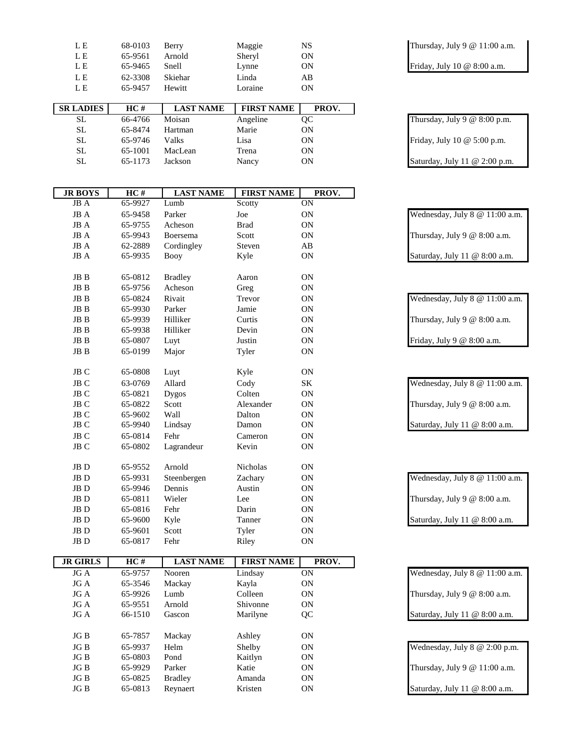| L E              | 68-0103 | Berry            | Maggie            | NS    |
|------------------|---------|------------------|-------------------|-------|
| L E              | 65-9561 | Arnold           | Sheryl            | ON    |
| L E              | 65-9465 | Snell            | Lynne             | ON    |
| L E              | 62-3308 | Skiehar          | Linda             | AB    |
| L E              | 65-9457 | Hewitt           | Loraine           | ON    |
|                  |         |                  |                   |       |
|                  |         |                  |                   |       |
| <b>SR LADIES</b> | HC#     | <b>LAST NAME</b> | <b>FIRST NAME</b> | PROV. |

| ້   | <u>vv 17 vv</u> | 1110111 | $1.115$ value | $\check{ }$ |
|-----|-----------------|---------|---------------|-------------|
| SL. | 65-8474         | Hartman | Marie         | ΟN          |
| SL. | 65-9746         | Valks   | Lisa          | ON          |
| SL  | 65-1001         | MacLean | Trena         | ON          |
| SL  | 65-1173         | Jackson | Nancy         | <b>ON</b>   |
|     |                 |         |               |             |

| <b>JR BOYS</b>         | HC#     | <b>LAST NAME</b> | <b>FIRST NAME</b> | PROV.           |                                |
|------------------------|---------|------------------|-------------------|-----------------|--------------------------------|
| JB A                   | 65-9927 | Lumb             | Scotty            | $\overline{ON}$ |                                |
| JBA                    | 65-9458 | Parker           | Joe               | $\mathbf{ON}$   | Wednesday, July 8 @ 11:00 a.m. |
| JBA                    | 65-9755 | Acheson          | <b>Brad</b>       | ON              |                                |
| $JBA$                  | 65-9943 | Boersema         | Scott             | ON              | Thursday, July 9 $@$ 8:00 a.m. |
| $JB$ $\boldsymbol{A}$  | 62-2889 | Cordingley       | Steven            | AB              |                                |
| JB A                   | 65-9935 | <b>Booy</b>      | Kyle              | <b>ON</b>       | Saturday, July 11 @ 8:00 a.m.  |
| JB B                   | 65-0812 | <b>Bradley</b>   | Aaron             | <b>ON</b>       |                                |
| $\rm{JB}$ B            | 65-9756 | Acheson          | Greg              | ON              |                                |
| $\rm{JB}$ B            | 65-0824 | Rivait           | Trevor            | ON              | Wednesday, July 8 @ 11:00 a.m. |
| $\rm{JB}$ B            | 65-9930 | Parker           | Jamie             | ON              |                                |
| $\rm{JB}$ B            | 65-9939 | Hilliker         | Curtis            | <b>ON</b>       | Thursday, July 9 $@$ 8:00 a.m. |
| $\rm{JB}$ B            | 65-9938 | Hilliker         | Devin             | ON              |                                |
| $\rm{JB}$ B            | 65-0807 | Luyt             | Justin            | ON              | Friday, July 9 @ 8:00 a.m.     |
| $\rm{JB}$ B            | 65-0199 | Major            | Tyler             | ON              |                                |
| JB C                   | 65-0808 | Luyt             | Kyle              | ON              |                                |
| JB C                   | 63-0769 | Allard           | Cody              | $\rm SK$        | Wednesday, July 8 @ 11:00 a.m. |
| JB C                   | 65-0821 | <b>Dygos</b>     | Colten            | <b>ON</b>       |                                |
| JB C                   | 65-0822 | Scott            | Alexander         | <b>ON</b>       | Thursday, July 9 $@$ 8:00 a.m. |
| JB C                   | 65-9602 | Wall             | Dalton            | ON              |                                |
| JB C                   | 65-9940 | Lindsay          | Damon             | ON              | Saturday, July 11 @ 8:00 a.m.  |
| JB C                   | 65-0814 | Fehr             | Cameron           | ON              |                                |
| $_{\rm JB}$ $_{\rm C}$ | 65-0802 | Lagrandeur       | Kevin             | ON              |                                |
| $\rm{JB}$ D            | 65-9552 | Arnold           | Nicholas          | ON              |                                |
| $\rm{JB}$ D            | 65-9931 | Steenbergen      | Zachary           | ON              | Wednesday, July 8 @ 11:00 a.m. |
| JB D                   | 65-9946 | Dennis           | Austin            | <b>ON</b>       |                                |
| $\rm{JB}$ D            | 65-0811 | Wieler           | Lee               | <b>ON</b>       | Thursday, July 9 $@$ 8:00 a.m. |
| JB <sub>D</sub>        | 65-0816 | Fehr             | Darin             | ON              |                                |
| JB D                   | 65-9600 | Kyle             | Tanner            | ON              | Saturday, July 11 @ 8:00 a.m.  |
| JB D                   | 65-9601 | Scott            | Tyler             | ON              |                                |
| JB D                   | 65-0817 | Fehr             | Riley             | ON              |                                |
| <b>JR GIRLS</b>        | HC#     | <b>LAST NAME</b> | <b>FIRST NAME</b> | PROV.           |                                |
| <b>JGA</b>             | 65-9757 | Nooren           | Lindsay           | ON              | Wednesday, July 8 @ 11:00 a.m. |
| $JG\,\mathbb{A}$       | 65-3546 | Mackay           | Kayla             | ON              |                                |
| JG A                   | 65-9926 | Lumb             | Colleen           | ON              | Thursday, July 9 $@$ 8:00 a.m. |
| JG A                   | 65-9551 | Arnold           | Shivonne          | ON              |                                |

JG B 65-7857 Mackay Ashley ON

JG B 65-0803 Pond Kaitlyn ON

JG B 65-0825 Bradley Amanda ON<br>
JG B 65-0813 Reynaert Kristen ON

Thursday, July 9  $@$  11:00 a.m. Friday, July 10 @ 8:00 a.m.

Thursday, July 9  $@ 8:00$  p.m. Friday, July 10 @ 5:00 p.m. Saturday, July 11  $@ 2:00$  p.m.

| Wednesday, July $8 \& 11:00$ a.m. |
|-----------------------------------|
| Thursday, July 9 $@$ 8:00 a.m.    |
| Saturday, July 11 @ 8:00 a.m.     |

| Wednesday, July 8 @ 11:00 a.m. |
|--------------------------------|
| Thursday, July 9 $@$ 8:00 a.m. |
| Saturday, July 11 @ 8:00 a.m.  |

| JG A | 65-9757 | <b>Nooren</b> | Lindsay        | ON | Wednesday, July $8 \& 11:00$ a.m. |
|------|---------|---------------|----------------|----|-----------------------------------|
| JG A | 65-3546 | Mackay        | Kayla          | 0N |                                   |
| JG A | 65-9926 | Lumb          | Colleen        | ΟN | Thursday, July 9 $@$ 8:00 a.m.    |
| JG A | 65-9551 | Arnold        | Shivonne       | ΟN |                                   |
| JG A | 66-1510 | Gascon        | Marilyne       | OС | Saturday, July 11 @ 8:00 a.m.     |
|      |         |               |                |    |                                   |
| IGR  | 65-7857 | Mackay        | $\Delta$ chley | ΩN |                                   |

JG B 65-9937 Helm Shelby ON Wednesday, July 8 @ 2:00 p.m. JG B 65-9929 Parker Katie ON Thursday, July 9 @ 11:00 a.m. 65-0813 Reynaert Kristen ON Saturday, July 11 @ 8:00 a.m.